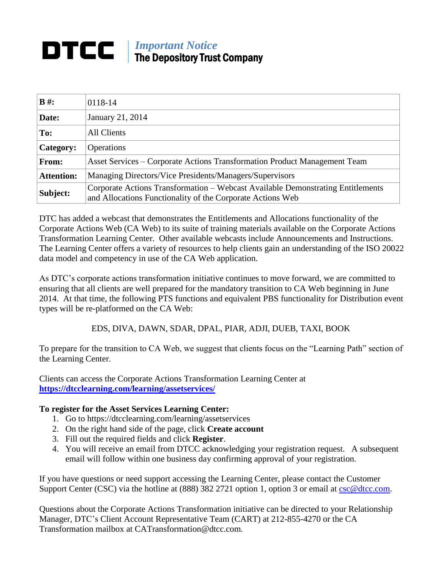## *Important Notice* DTCC | The Depository Trust Company

| $B \#$ :          | 0118-14                                                                                                                                       |
|-------------------|-----------------------------------------------------------------------------------------------------------------------------------------------|
| Date:             | January 21, 2014                                                                                                                              |
| To:               | All Clients                                                                                                                                   |
| <b>Category:</b>  | <b>Operations</b>                                                                                                                             |
| From:             | Asset Services – Corporate Actions Transformation Product Management Team                                                                     |
| <b>Attention:</b> | Managing Directors/Vice Presidents/Managers/Supervisors                                                                                       |
| Subject:          | Corporate Actions Transformation - Webcast Available Demonstrating Entitlements<br>and Allocations Functionality of the Corporate Actions Web |

DTC has added a webcast that demonstrates the Entitlements and Allocations functionality of the Corporate Actions Web (CA Web) to its suite of training materials available on the Corporate Actions Transformation Learning Center. Other available webcasts include Announcements and Instructions. The Learning Center offers a variety of resources to help clients gain an understanding of the ISO 20022 data model and competency in use of the CA Web application.

As DTC's corporate actions transformation initiative continues to move forward, we are committed to ensuring that all clients are well prepared for the mandatory transition to CA Web beginning in June 2014. At that time, the following PTS functions and equivalent PBS functionality for Distribution event types will be re-platformed on the CA Web:

EDS, DIVA, DAWN, SDAR, DPAL, PIAR, ADJI, DUEB, TAXI, BOOK

To prepare for the transition to CA Web, we suggest that clients focus on the "Learning Path" section of the Learning Center.

Clients can access the Corporate Actions Transformation Learning Center at **[https://dtcclearning.com/learning/assetservices/](http://dtcclearning.com/learning/assetservices/)**

## **To register for the Asset Services Learning Center:**

- 1. Go to https://dtcclearning.com/learning/assetservices
- 2. On the right hand side of the page, click **Create account**
- 3. Fill out the required fields and click **Register**.
- 4. You will receive an email from DTCC acknowledging your registration request. A subsequent email will follow within one business day confirming approval of your registration.

If you have questions or need support accessing the Learning Center, please contact the Customer Support Center (CSC) via the hotline at (888) 382 2721 option 1, option 3 or email at [csc@dtcc.com.](mailto:csc@dtcc.com)

Questions about the Corporate Actions Transformation initiative can be directed to your Relationship Manager, DTC's Client Account Representative Team (CART) at 212-855-4270 or the CA Transformation mailbox at CATransformation@dtcc.com.